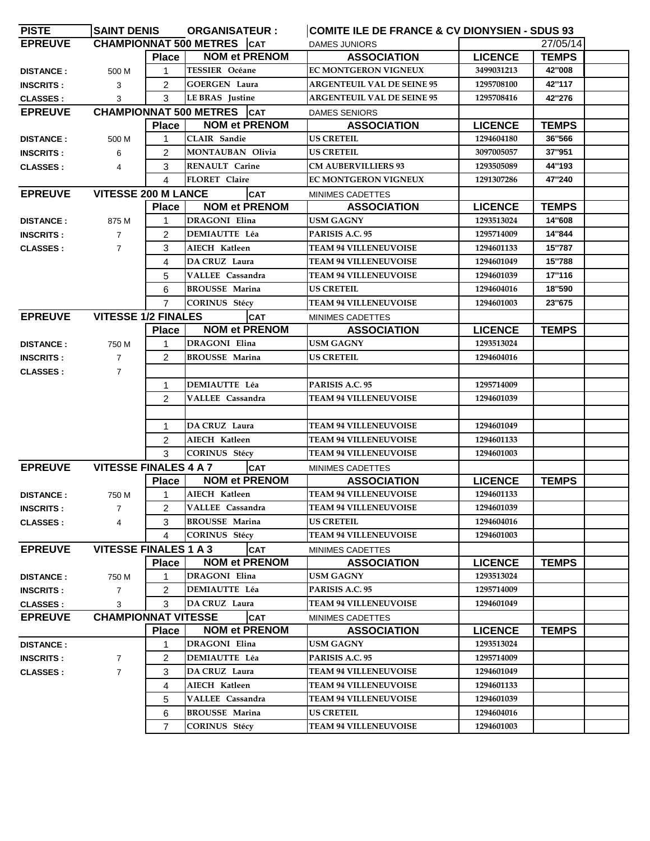| <b>PISTE</b>     | SAINT DENIS ORGANISATEUR :                                          |                |                                   | <b>COMITE ILE DE FRANCE &amp; CV DIONYSIEN - SDUS 93</b> |                |              |  |
|------------------|---------------------------------------------------------------------|----------------|-----------------------------------|----------------------------------------------------------|----------------|--------------|--|
| <b>EPREUVE</b>   |                                                                     |                | <b>CHAMPIONNAT 500 METRES</b> CAT | <b>DAMES JUNIORS</b>                                     |                | 27/05/14     |  |
|                  |                                                                     | Place          | <b>NOM et PRENOM</b>              | <b>ASSOCIATION</b>                                       | <b>LICENCE</b> | <b>TEMPS</b> |  |
| <b>DISTANCE:</b> | 500 M                                                               | $\mathbf 1$    | <b>TESSIER Océane</b>             | EC MONTGERON VIGNEUX                                     | 3499031213     | 42"008       |  |
| <b>INSCRITS:</b> | 3                                                                   | $\overline{2}$ | <b>GOERGEN Laura</b>              | <b>ARGENTEUIL VAL DE SEINE 95</b>                        | 1295708100     | 42"117       |  |
| <b>CLASSES:</b>  | 3                                                                   | 3              | <b>LE BRAS</b> Justine            | <b>ARGENTEUIL VAL DE SEINE 95</b>                        | 1295708416     | 42"276       |  |
| <b>EPREUVE</b>   |                                                                     |                | <b>CHAMPIONNAT 500 METRES</b> CAT | <b>DAMES SENIORS</b>                                     |                |              |  |
|                  |                                                                     | Place          | <b>NOM et PRENOM</b>              | <b>ASSOCIATION</b>                                       | <b>LICENCE</b> | <b>TEMPS</b> |  |
| <b>DISTANCE:</b> | 500 M                                                               | 1.             | <b>CLAIR</b> Sandie               | <b>US CRETEIL</b>                                        | 1294604180     | 36"566       |  |
| <b>INSCRITS:</b> | 6                                                                   | $\overline{2}$ | MONTAUBAN Olivia                  | <b>US CRETEIL</b>                                        | 3097005057     | 37"951       |  |
| <b>CLASSES:</b>  | 4                                                                   | 3              | RENAULT Carine                    | <b>CM AUBERVILLIERS 93</b>                               | 1293505089     | 44"193       |  |
|                  |                                                                     | 4              | FLORET Claire                     | <b>EC MONTGERON VIGNEUX</b>                              | 1291307286     | 47"240       |  |
| <b>EPREUVE</b>   | <b>VITESSE 200 M LANCE</b><br><b>CAT</b><br><b>MINIMES CADETTES</b> |                |                                   |                                                          |                |              |  |
|                  |                                                                     | Place          | <b>NOM et PRENOM</b>              | <b>ASSOCIATION</b>                                       | <b>LICENCE</b> | <b>TEMPS</b> |  |
| <b>DISTANCE:</b> | 875 M                                                               | 1              | <b>DRAGONI Elina</b>              | <b>USM GAGNY</b>                                         | 1293513024     | 14"608       |  |
| <b>INSCRITS:</b> | $\overline{7}$                                                      | 2              | <b>DEMIAUTTE Léa</b>              | PARISIS A.C. 95                                          | 1295714009     | 14"844       |  |
| <b>CLASSES:</b>  | $\overline{7}$                                                      | 3              | <b>AIECH Katleen</b>              | <b>TEAM 94 VILLENEUVOISE</b>                             | 1294601133     | 15"787       |  |
|                  |                                                                     | 4              | DA CRUZ Laura                     | <b>TEAM 94 VILLENEUVOISE</b>                             | 1294601049     | 15"788       |  |
|                  |                                                                     | 5              | <b>VALLEE</b> Cassandra           | <b>TEAM 94 VILLENEUVOISE</b>                             | 1294601039     | 17"116       |  |
|                  |                                                                     | 6              | <b>BROUSSE Marina</b>             | <b>US CRETEIL</b>                                        | 1294604016     | 18"590       |  |
|                  |                                                                     | $\overline{7}$ | <b>CORINUS Stécy</b>              | <b>TEAM 94 VILLENEUVOISE</b>                             | 1294601003     | 23"675       |  |
| <b>EPREUVE</b>   | <b>VITESSE 1/2 FINALES</b>                                          |                | <b>CAT</b>                        | <b>MINIMES CADETTES</b>                                  |                |              |  |
|                  |                                                                     | <b>Place</b>   | <b>NOM et PRENOM</b>              | <b>ASSOCIATION</b>                                       | <b>LICENCE</b> | <b>TEMPS</b> |  |
| <b>DISTANCE:</b> | 750 M                                                               | $\mathbf{1}$   | <b>DRAGONI</b> Elina              | <b>USM GAGNY</b>                                         | 1293513024     |              |  |
| <b>INSCRITS:</b> | $\overline{7}$                                                      | $\overline{2}$ | <b>BROUSSE Marina</b>             | <b>US CRETEIL</b>                                        | 1294604016     |              |  |
| <b>CLASSES:</b>  | $\overline{7}$                                                      |                |                                   |                                                          |                |              |  |
|                  |                                                                     | $\mathbf{1}$   | <b>DEMIAUTTE Léa</b>              | PARISIS A.C. 95                                          | 1295714009     |              |  |
|                  |                                                                     | $\mathcal{P}$  | VALLEE Cassandra                  | <b>TEAM 94 VILLENEUVOISE</b>                             | 1294601039     |              |  |
|                  |                                                                     |                |                                   |                                                          |                |              |  |
|                  |                                                                     | $\mathbf 1$    | DA CRUZ Laura                     | <b>TEAM 94 VILLENEUVOISE</b>                             | 1294601049     |              |  |
|                  |                                                                     | $\overline{2}$ | <b>AIECH Katleen</b>              | <b>TEAM 94 VILLENEUVOISE</b>                             | 1294601133     |              |  |
|                  |                                                                     | 3              | <b>CORINUS Stécy</b>              | <b>TEAM 94 VILLENEUVOISE</b>                             | 1294601003     |              |  |
| <b>EPREUVE</b>   | <b>VITESSE FINALES 4 A 7</b>                                        |                | <b>CAT</b>                        | MINIMES CADETTES                                         |                |              |  |
|                  |                                                                     | Place          | <b>NOM et PRENOM</b>              | <b>ASSOCIATION</b>                                       | <b>LICENCE</b> | <b>TEMPS</b> |  |
| <b>DISTANCE:</b> | 750 M                                                               |                | AIECH Katleen                     | <b>TEAM 94 VILLENEUVOISE</b>                             | 1294601133     |              |  |
| <b>INSCRITS:</b> | $\overline{7}$                                                      | 2              | VALLEE Cassandra                  | <b>TEAM 94 VILLENEUVOISE</b>                             | 1294601039     |              |  |
| <b>CLASSES:</b>  | 4                                                                   | 3              | <b>BROUSSE Marina</b>             | <b>US CRETEIL</b>                                        | 1294604016     |              |  |
|                  |                                                                     | 4              | <b>CORINUS Stécy</b>              | <b>TEAM 94 VILLENEUVOISE</b>                             | 1294601003     |              |  |
| <b>EPREUVE</b>   | <b>VITESSE FINALES 1 A 3</b>                                        |                | <b>CAT</b>                        | MINIMES CADETTES                                         |                |              |  |
|                  |                                                                     | <b>Place</b>   | <b>NOM et PRENOM</b>              | <b>ASSOCIATION</b>                                       | <b>LICENCE</b> | <b>TEMPS</b> |  |
| <b>DISTANCE:</b> | 750 M                                                               | 1.             | <b>DRAGONI Elina</b>              | USM GAGNY                                                | 1293513024     |              |  |
| <b>INSCRITS:</b> | $\overline{7}$                                                      | 2              | <b>DEMIAUTTE Léa</b>              | PARISIS A.C. 95                                          | 1295714009     |              |  |
| <b>CLASSES:</b>  | 3                                                                   | 3              | DA CRUZ Laura                     | <b>TEAM 94 VILLENEUVOISE</b>                             | 1294601049     |              |  |
| <b>EPREUVE</b>   | <b>CHAMPIONNAT VITESSE</b>                                          |                | <b>CAT</b>                        | MINIMES CADETTES                                         |                |              |  |
|                  |                                                                     | <b>Place</b>   | <b>NOM et PRENOM</b>              | <b>ASSOCIATION</b>                                       | <b>LICENCE</b> | <b>TEMPS</b> |  |
| <b>DISTANCE:</b> |                                                                     | 1              | <b>DRAGONI Elina</b>              | <b>USM GAGNY</b>                                         | 1293513024     |              |  |
| <b>INSCRITS:</b> | $\overline{7}$                                                      | 2              | <b>DEMIAUTTE Léa</b>              | PARISIS A.C. 95                                          | 1295714009     |              |  |
| <b>CLASSES:</b>  | $\overline{7}$                                                      | 3              | DA CRUZ Laura                     | <b>TEAM 94 VILLENEUVOISE</b>                             | 1294601049     |              |  |
|                  |                                                                     | 4              | AIECH Katleen                     | <b>TEAM 94 VILLENEUVOISE</b>                             | 1294601133     |              |  |
|                  |                                                                     | 5              | VALLEE Cassandra                  | <b>TEAM 94 VILLENEUVOISE</b>                             | 1294601039     |              |  |
|                  |                                                                     | 6              | <b>BROUSSE Marina</b>             | <b>US CRETEIL</b>                                        | 1294604016     |              |  |
|                  |                                                                     | $\overline{7}$ | <b>CORINUS Stécy</b>              | <b>TEAM 94 VILLENEUVOISE</b>                             | 1294601003     |              |  |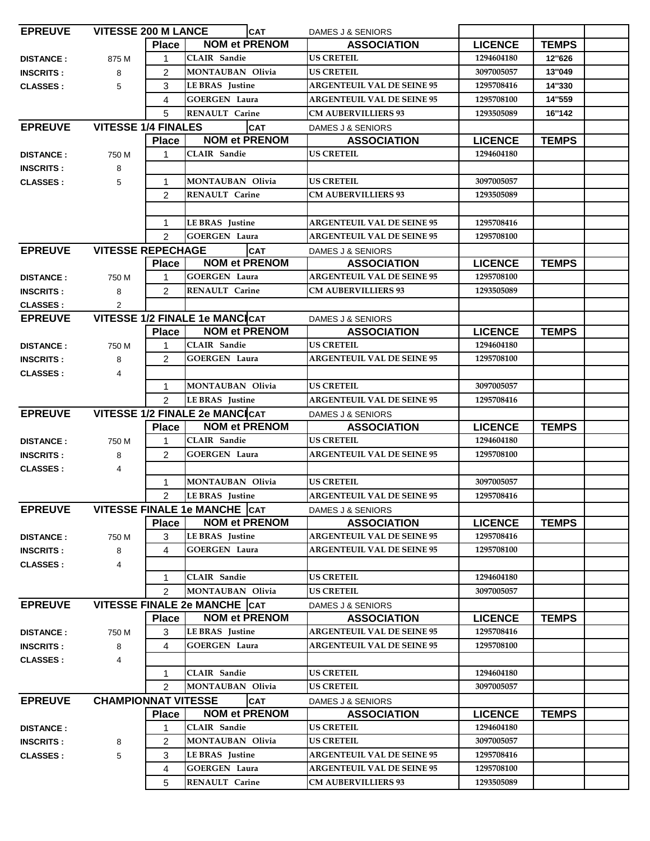| <b>EPREUVE</b>   | <b>VITESSE 200 M LANCE</b> |                | <b>CAT</b>                                           | DAMES J & SENIORS                       |                |              |  |
|------------------|----------------------------|----------------|------------------------------------------------------|-----------------------------------------|----------------|--------------|--|
|                  |                            | Place          | <b>NOM et PRENOM</b>                                 | <b>ASSOCIATION</b>                      | <b>LICENCE</b> | <b>TEMPS</b> |  |
| <b>DISTANCE:</b> | 875 M                      | 1              | <b>CLAIR</b> Sandie                                  | <b>US CRETEIL</b>                       | 1294604180     | 12"626       |  |
| <b>INSCRITS:</b> | 8                          | $\overline{2}$ | <b>MONTAUBAN Olivia</b>                              | <b>US CRETEIL</b>                       | 3097005057     | 13"049       |  |
| <b>CLASSES:</b>  | 5                          | 3              | <b>LE BRAS</b> Justine                               | <b>ARGENTEUIL VAL DE SEINE 95</b>       | 1295708416     | 14"330       |  |
|                  |                            | 4              | <b>GOERGEN Laura</b>                                 | <b>ARGENTEUIL VAL DE SEINE 95</b>       | 1295708100     | 14"559       |  |
|                  |                            | 5              | <b>RENAULT</b> Carine                                | <b>CM AUBERVILLIERS 93</b>              | 1293505089     | 16"142       |  |
| <b>EPREUVE</b>   | <b>VITESSE 1/4 FINALES</b> |                | <b>CAT</b>                                           | DAMES J & SENIORS                       |                |              |  |
|                  |                            | <b>Place</b>   | <b>NOM et PRENOM</b>                                 | <b>ASSOCIATION</b>                      | <b>LICENCE</b> | <b>TEMPS</b> |  |
| <b>DISTANCE:</b> | 750 M                      | 1              | <b>CLAIR</b> Sandie                                  | <b>US CRETEIL</b>                       | 1294604180     |              |  |
| <b>INSCRITS:</b> | 8                          |                |                                                      |                                         |                |              |  |
| <b>CLASSES:</b>  | 5                          | $\mathbf{1}$   | MONTAUBAN Olivia                                     | <b>US CRETEIL</b>                       | 3097005057     |              |  |
|                  |                            | $\overline{2}$ | RENAULT Carine                                       | <b>CM AUBERVILLIERS 93</b>              | 1293505089     |              |  |
|                  |                            |                |                                                      |                                         |                |              |  |
|                  |                            | 1              | <b>LE BRAS</b> Justine                               | <b>ARGENTEUIL VAL DE SEINE 95</b>       | 1295708416     |              |  |
|                  |                            | $\overline{2}$ | <b>GOERGEN Laura</b>                                 | <b>ARGENTEUIL VAL DE SEINE 95</b>       | 1295708100     |              |  |
| <b>EPREUVE</b>   | <b>VITESSE REPECHAGE</b>   |                | <b>CAT</b>                                           | DAMES J & SENIORS                       |                |              |  |
|                  |                            | <b>Place</b>   | <b>NOM et PRENOM</b>                                 | <b>ASSOCIATION</b>                      | <b>LICENCE</b> | <b>TEMPS</b> |  |
| <b>DISTANCE:</b> | 750 M                      |                | <b>GOERGEN Laura</b>                                 | <b>ARGENTEUIL VAL DE SEINE 95</b>       | 1295708100     |              |  |
| <b>INSCRITS:</b> | 8                          | $\overline{2}$ | <b>RENAULT Carine</b>                                | <b>CM AUBERVILLIERS 93</b>              | 1293505089     |              |  |
| <b>CLASSES:</b>  | $\overline{2}$             |                |                                                      |                                         |                |              |  |
| <b>EPREUVE</b>   |                            |                | VITESSE 1/2 FINALE 1e MANCICAT                       | DAMES J & SENIORS                       |                |              |  |
|                  |                            | <b>Place</b>   | <b>NOM et PRENOM</b>                                 | <b>ASSOCIATION</b>                      | <b>LICENCE</b> | <b>TEMPS</b> |  |
| <b>DISTANCE:</b> | 750 M                      | 1              | <b>CLAIR</b> Sandie                                  | <b>US CRETEIL</b>                       | 1294604180     |              |  |
| <b>INSCRITS:</b> | 8                          | $\overline{2}$ | <b>GOERGEN Laura</b>                                 | <b>ARGENTEUIL VAL DE SEINE 95</b>       | 1295708100     |              |  |
| <b>CLASSES:</b>  | 4                          |                |                                                      |                                         |                |              |  |
|                  |                            | 1              | <b>MONTAUBAN Olivia</b>                              | <b>US CRETEIL</b>                       | 3097005057     |              |  |
|                  |                            | $\mathcal{P}$  | LE BRAS Justine                                      | <b>ARGENTEUIL VAL DE SEINE 95</b>       | 1295708416     |              |  |
| <b>EPREUVE</b>   |                            |                | VITESSE 1/2 FINALE 2e MANCICAT                       | DAMES J & SENIORS                       |                |              |  |
|                  |                            | <b>Place</b>   | <b>NOM et PRENOM</b>                                 | <b>ASSOCIATION</b>                      | <b>LICENCE</b> | <b>TEMPS</b> |  |
| <b>DISTANCE:</b> | 750 M                      | 1              | <b>CLAIR</b> Sandie                                  | <b>US CRETEIL</b>                       | 1294604180     |              |  |
| <b>INSCRITS:</b> | 8                          | $\overline{2}$ | <b>GOERGEN Laura</b>                                 | <b>ARGENTEUIL VAL DE SEINE 95</b>       | 1295708100     |              |  |
| <b>CLASSES:</b>  | 4                          |                |                                                      |                                         |                |              |  |
|                  |                            | 1              | <b>MONTAUBAN Olivia</b>                              | <b>US CRETEIL</b>                       | 3097005057     |              |  |
|                  |                            | 2              | LE BRAS Justine                                      | <b>ARGENTEUIL VAL DE SEINE 95</b>       | 1295708416     |              |  |
| <b>EPREUVE</b>   |                            | Place          | VITESSE FINALE 1e MANCHE CAT<br><b>NOM et PRENOM</b> | DAMES J & SENIORS<br><b>ASSOCIATION</b> | <b>LICENCE</b> | <b>TEMPS</b> |  |
|                  | 750 M                      | 3              | LE BRAS Justine                                      | <b>ARGENTEUIL VAL DE SEINE 95</b>       | 1295708416     |              |  |
| <b>DISTANCE:</b> |                            | 4              | <b>GOERGEN Laura</b>                                 | <b>ARGENTEUIL VAL DE SEINE 95</b>       | 1295708100     |              |  |
| <b>INSCRITS:</b> | 8                          |                |                                                      |                                         |                |              |  |
| <b>CLASSES:</b>  | 4                          | 1              | <b>CLAIR</b> Sandie                                  | <b>US CRETEIL</b>                       | 1294604180     |              |  |
|                  |                            | $\overline{2}$ | MONTAUBAN Olivia                                     | <b>US CRETEIL</b>                       | 3097005057     |              |  |
| <b>EPREUVE</b>   |                            |                | VITESSE FINALE 2e MANCHE CAT                         |                                         |                |              |  |
|                  |                            | <b>Place</b>   | <b>NOM et PRENOM</b>                                 | DAMES J & SENIORS<br><b>ASSOCIATION</b> | <b>LICENCE</b> | <b>TEMPS</b> |  |
| <b>DISTANCE:</b> | 750 M                      | 3              | <b>LE BRAS</b> Justine                               | <b>ARGENTEUIL VAL DE SEINE 95</b>       | 1295708416     |              |  |
| <b>INSCRITS:</b> | 8                          | 4              | <b>GOERGEN Laura</b>                                 | <b>ARGENTEUIL VAL DE SEINE 95</b>       | 1295708100     |              |  |
| <b>CLASSES:</b>  | 4                          |                |                                                      |                                         |                |              |  |
|                  |                            | $\mathbf{1}$   | <b>CLAIR</b> Sandie                                  | <b>US CRETEIL</b>                       | 1294604180     |              |  |
|                  |                            | $\mathcal{P}$  | MONTAUBAN Olivia                                     | <b>US CRETEIL</b>                       | 3097005057     |              |  |
| <b>EPREUVE</b>   | <b>CHAMPIONNAT VITESSE</b> |                | <b>CAT</b>                                           | DAMES J & SENIORS                       |                |              |  |
|                  |                            | <b>Place</b>   | <b>NOM et PRENOM</b>                                 | <b>ASSOCIATION</b>                      | <b>LICENCE</b> | <b>TEMPS</b> |  |
| <b>DISTANCE:</b> |                            | 1              | <b>CLAIR</b> Sandie                                  | <b>US CRETEIL</b>                       | 1294604180     |              |  |
| <b>INSCRITS:</b> | 8                          | 2              | MONTAUBAN Olivia                                     | <b>US CRETEIL</b>                       | 3097005057     |              |  |
| <b>CLASSES:</b>  | 5                          | 3              | LE BRAS Justine                                      | <b>ARGENTEUIL VAL DE SEINE 95</b>       | 1295708416     |              |  |
|                  |                            | 4              | <b>GOERGEN Laura</b>                                 | <b>ARGENTEUIL VAL DE SEINE 95</b>       | 1295708100     |              |  |
|                  |                            | 5              | RENAULT Carine                                       | <b>CM AUBERVILLIERS 93</b>              | 1293505089     |              |  |
|                  |                            |                |                                                      |                                         |                |              |  |